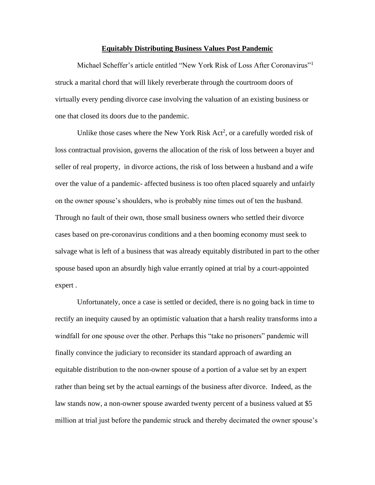## **Equitably Distributing Business Values Post Pandemic**

Michael Scheffer's article entitled "New York Risk of Loss After Coronavirus"<sup>1</sup> struck a marital chord that will likely reverberate through the courtroom doors of virtually every pending divorce case involving the valuation of an existing business or one that closed its doors due to the pandemic.

Unlike those cases where the New York Risk  $Act^2$ , or a carefully worded risk of loss contractual provision, governs the allocation of the risk of loss between a buyer and seller of real property, in divorce actions, the risk of loss between a husband and a wife over the value of a pandemic- affected business is too often placed squarely and unfairly on the owner spouse's shoulders, who is probably nine times out of ten the husband. Through no fault of their own, those small business owners who settled their divorce cases based on pre-coronavirus conditions and a then booming economy must seek to salvage what is left of a business that was already equitably distributed in part to the other spouse based upon an absurdly high value errantly opined at trial by a court-appointed expert .

Unfortunately, once a case is settled or decided, there is no going back in time to rectify an inequity caused by an optimistic valuation that a harsh reality transforms into a windfall for one spouse over the other. Perhaps this "take no prisoners" pandemic will finally convince the judiciary to reconsider its standard approach of awarding an equitable distribution to the non-owner spouse of a portion of a value set by an expert rather than being set by the actual earnings of the business after divorce. Indeed, as the law stands now, a non-owner spouse awarded twenty percent of a business valued at \$5 million at trial just before the pandemic struck and thereby decimated the owner spouse's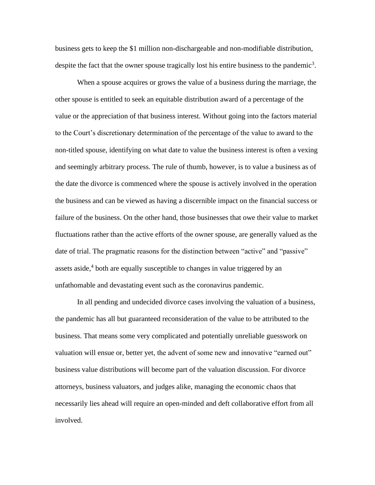business gets to keep the \$1 million non-dischargeable and non-modifiable distribution, despite the fact that the owner spouse tragically lost his entire business to the pandemic<sup>3</sup>.

When a spouse acquires or grows the value of a business during the marriage, the other spouse is entitled to seek an equitable distribution award of a percentage of the value or the appreciation of that business interest. Without going into the factors material to the Court's discretionary determination of the percentage of the value to award to the non-titled spouse, identifying on what date to value the business interest is often a vexing and seemingly arbitrary process. The rule of thumb, however, is to value a business as of the date the divorce is commenced where the spouse is actively involved in the operation the business and can be viewed as having a discernible impact on the financial success or failure of the business. On the other hand, those businesses that owe their value to market fluctuations rather than the active efforts of the owner spouse, are generally valued as the date of trial. The pragmatic reasons for the distinction between "active" and "passive" assets aside,<sup>4</sup> both are equally susceptible to changes in value triggered by an unfathomable and devastating event such as the coronavirus pandemic.

In all pending and undecided divorce cases involving the valuation of a business, the pandemic has all but guaranteed reconsideration of the value to be attributed to the business. That means some very complicated and potentially unreliable guesswork on valuation will ensue or, better yet, the advent of some new and innovative "earned out" business value distributions will become part of the valuation discussion. For divorce attorneys, business valuators, and judges alike, managing the economic chaos that necessarily lies ahead will require an open-minded and deft collaborative effort from all involved.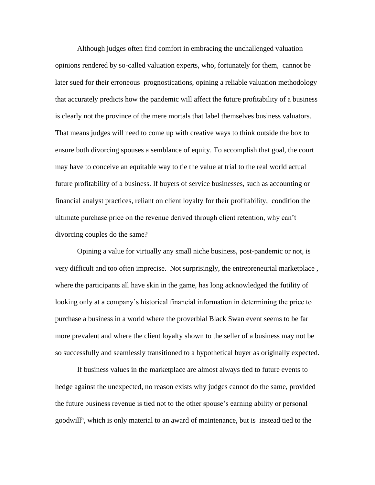Although judges often find comfort in embracing the unchallenged valuation opinions rendered by so-called valuation experts, who, fortunately for them, cannot be later sued for their erroneous prognostications, opining a reliable valuation methodology that accurately predicts how the pandemic will affect the future profitability of a business is clearly not the province of the mere mortals that label themselves business valuators. That means judges will need to come up with creative ways to think outside the box to ensure both divorcing spouses a semblance of equity. To accomplish that goal, the court may have to conceive an equitable way to tie the value at trial to the real world actual future profitability of a business. If buyers of service businesses, such as accounting or financial analyst practices, reliant on client loyalty for their profitability, condition the ultimate purchase price on the revenue derived through client retention, why can't divorcing couples do the same?

Opining a value for virtually any small niche business, post-pandemic or not, is very difficult and too often imprecise. Not surprisingly, the entrepreneurial marketplace , where the participants all have skin in the game, has long acknowledged the futility of looking only at a company's historical financial information in determining the price to purchase a business in a world where the proverbial Black Swan event seems to be far more prevalent and where the client loyalty shown to the seller of a business may not be so successfully and seamlessly transitioned to a hypothetical buyer as originally expected.

If business values in the marketplace are almost always tied to future events to hedge against the unexpected, no reason exists why judges cannot do the same, provided the future business revenue is tied not to the other spouse's earning ability or personal goodwill<sup>5</sup>, which is only material to an award of maintenance, but is instead tied to the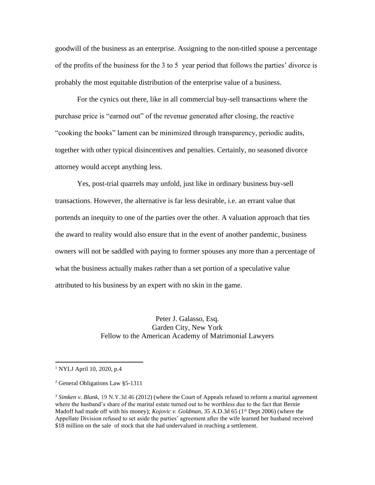goodwill of the business as an enterprise. Assigning to the non-titled spouse a percentage of the profits of the business for the 3 to 5 year period that follows the parties' divorce is probably the most equitable distribution of the enterprise value of a business.

For the cynics out there, like in all commercial buy-sell transactions where the purchase price is "earned out" of the revenue generated after closing, the reactive "cooking the books" lament can be minimized through transparency, periodic audits, together with other typical disincentives and penalties. Certainly, no seasoned divorce attorney would accept anything less.

Yes, post-trial quarrels may unfold, just like in ordinary business buy-sell transactions. However, the alternative is far less desirable, i.e. an errant value that portends an inequity to one of the parties over the other. A valuation approach that ties the award to reality would also ensure that in the event of another pandemic, business owners will not be saddled with paying to former spouses any more than a percentage of what the business actually makes rather than a set portion of a speculative value attributed to his business by an expert with no skin in the game.

> Peter J. Galasso, Esq. Garden City, New York Fellow to the American Academy of Matrimonial Lawyers

<sup>1</sup> NYLJ April 10, 2020, p.4

<sup>2</sup> General Obligations Law §5-1311

<sup>3</sup> *Simken v. Blank*, 19 N.Y.3d 46 (2012) (where the Court of Appeals refused to reform a marital agreement where the husband's share of the marital estate turned out to be worthless due to the fact that Bernie Madoff had made off with his money); *Kojovic v. Goldman*, 35 A.D.3d 65 (1<sup>st</sup> Dept 2006) (where the Appellate Division refused to set aside the parties' agreement after the wife learned her husband received \$18 million on the sale of stock that she had undervalued in reaching a settlement.